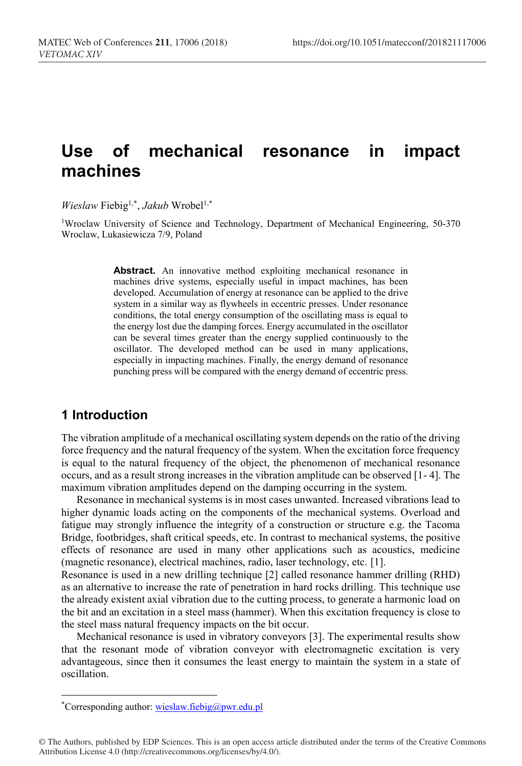# **Use of mechanical resonance in impact machines**

*Wieslaw* Fiebig1,\* , *Jakub* Wrobel1,\*

1Wroclaw University of Science and Technology, Department of Mechanical Engineering, 50-370 Wroclaw, Lukasiewicza 7/9, Poland

> **Abstract.** An innovative method exploiting mechanical resonance in machines drive systems, especially useful in impact machines, has been developed. Accumulation of energy at resonance can be applied to the drive system in a similar way as flywheels in eccentric presses. Under resonance conditions, the total energy consumption of the oscillating mass is equal to the energy lost due the damping forces. Energy accumulated in the oscillator can be several times greater than the energy supplied continuously to the oscillator. The developed method can be used in many applications, especially in impacting machines. Finally, the energy demand of resonance punching press will be compared with the energy demand of eccentric press.

## **1 Introduction**

 $\overline{a}$ 

The vibration amplitude of a mechanical oscillating system depends on the ratio of the driving force frequency and the natural frequency of the system. When the excitation force frequency is equal to the natural frequency of the object, the phenomenon of mechanical resonance occurs, and as a result strong increases in the vibration amplitude can be observed [1- 4]. The maximum vibration amplitudes depend on the damping occurring in the system.

Resonance in mechanical systems is in most cases unwanted. Increased vibrations lead to higher dynamic loads acting on the components of the mechanical systems. Overload and fatigue may strongly influence the integrity of a construction or structure e.g. the Tacoma Bridge, footbridges, shaft critical speeds, etc. In contrast to mechanical systems, the positive effects of resonance are used in many other applications such as acoustics, medicine (magnetic resonance), electrical machines, radio, laser technology, etc. [1].

Resonance is used in a new drilling technique [2] called resonance hammer drilling (RHD) as an alternative to increase the rate of penetration in hard rocks drilling. This technique use the already existent axial vibration due to the cutting process, to generate a harmonic load on the bit and an excitation in a steel mass (hammer). When this excitation frequency is close to the steel mass natural frequency impacts on the bit occur.

Mechanical resonance is used in vibratory conveyors [3]. The experimental results show that the resonant mode of vibration conveyor with electromagnetic excitation is very advantageous, since then it consumes the least energy to maintain the system in a state of oscillation.

<sup>\*</sup> Corresponding author: wieslaw.fiebig@pwr.edu.pl

<sup>©</sup> The Authors, published by EDP Sciences. This is an open access article distributed under the terms of the Creative Commons Attribution License 4.0 (http://creativecommons.org/licenses/by/4.0/).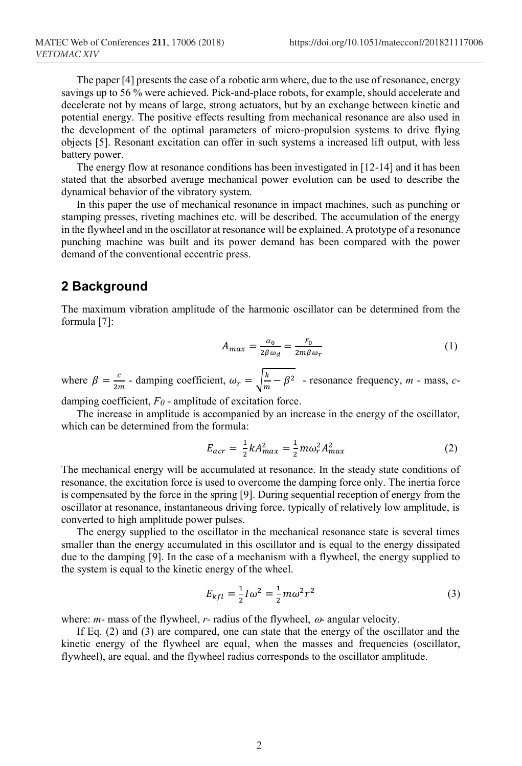The paper [4] presents the case of a robotic arm where, due to the use of resonance, energy savings up to 56 % were achieved. Pick-and-place robots, for example, should accelerate and decelerate not by means of large, strong actuators, but by an exchange between kinetic and potential energy. The positive effects resulting from mechanical resonance are also used in the development of the optimal parameters of micro-propulsion systems to drive flying objects [5]. Resonant excitation can offer in such systems a increased lift output, with less battery power.

The energy flow at resonance conditions has been investigated in [12-14] and it has been stated that the absorbed average mechanical power evolution can be used to describe the dynamical behavior of the vibratory system.

In this paper the use of mechanical resonance in impact machines, such as punching or stamping presses, riveting machines etc. will be described. The accumulation of the energy in the flywheel and in the oscillator at resonance will be explained. A prototype of a resonance punching machine was built and its power demand has been compared with the power demand of the conventional eccentric press.

### **2 Background**

The maximum vibration amplitude of the harmonic oscillator can be determined from the formula [7]:

$$
A_{max} = \frac{\alpha_0}{2\beta\omega_d} = \frac{F_0}{2m\beta\omega_r} \tag{1}
$$

where  $\beta = \frac{c}{2m}$  - damping coefficient,  $\omega_r = \sqrt{\frac{k}{m} - \beta^2}$  - resonance frequency, *m* - mass, *c*-

damping coefficient,  $F<sub>0</sub>$  - amplitude of excitation force.

The increase in amplitude is accompanied by an increase in the energy of the oscillator, which can be determined from the formula:

$$
E_{acr} = \frac{1}{2} k A_{max}^2 = \frac{1}{2} m \omega_r^2 A_{max}^2
$$
 (2)

The mechanical energy will be accumulated at resonance. In the steady state conditions of resonance, the excitation force is used to overcome the damping force only. The inertia force is compensated by the force in the spring [9]. During sequential reception of energy from the oscillator at resonance, instantaneous driving force, typically of relatively low amplitude, is converted to high amplitude power pulses.

The energy supplied to the oscillator in the mechanical resonance state is several times smaller than the energy accumulated in this oscillator and is equal to the energy dissipated due to the damping [9]. In the case of a mechanism with a flywheel, the energy supplied to the system is equal to the kinetic energy of the wheel.

$$
E_{kfl} = \frac{1}{2}I\omega^2 = \frac{1}{2}m\omega^2 r^2
$$
 (3)

where:  $m$ - mass of the flywheel,  $r$ - radius of the flywheel,  $\omega$ - angular velocity.

If Eq. (2) and (3) are compared, one can state that the energy of the oscillator and the kinetic energy of the flywheel are equal, when the masses and frequencies (oscillator, flywheel), are equal, and the flywheel radius corresponds to the oscillator amplitude.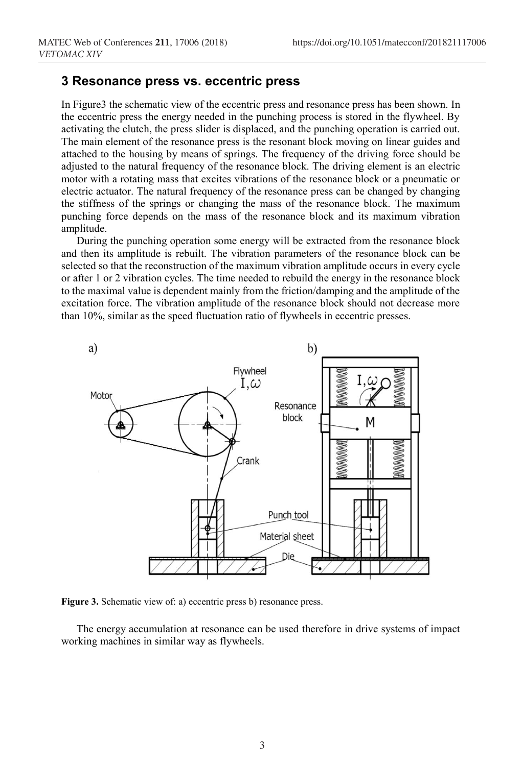#### **3 Resonance press vs. eccentric press**

In Figure3 the schematic view of the eccentric press and resonance press has been shown. In the eccentric press the energy needed in the punching process is stored in the flywheel. By activating the clutch, the press slider is displaced, and the punching operation is carried out. The main element of the resonance press is the resonant block moving on linear guides and attached to the housing by means of springs. The frequency of the driving force should be adjusted to the natural frequency of the resonance block. The driving element is an electric motor with a rotating mass that excites vibrations of the resonance block or a pneumatic or electric actuator. The natural frequency of the resonance press can be changed by changing the stiffness of the springs or changing the mass of the resonance block. The maximum punching force depends on the mass of the resonance block and its maximum vibration amplitude.

During the punching operation some energy will be extracted from the resonance block and then its amplitude is rebuilt. The vibration parameters of the resonance block can be selected so that the reconstruction of the maximum vibration amplitude occurs in every cycle or after 1 or 2 vibration cycles. The time needed to rebuild the energy in the resonance block to the maximal value is dependent mainly from the friction/damping and the amplitude of the excitation force. The vibration amplitude of the resonance block should not decrease more than 10%, similar as the speed fluctuation ratio of flywheels in eccentric presses.



**Figure 3.** Schematic view of: a) eccentric press b) resonance press.

The energy accumulation at resonance can be used therefore in drive systems of impact working machines in similar way as flywheels.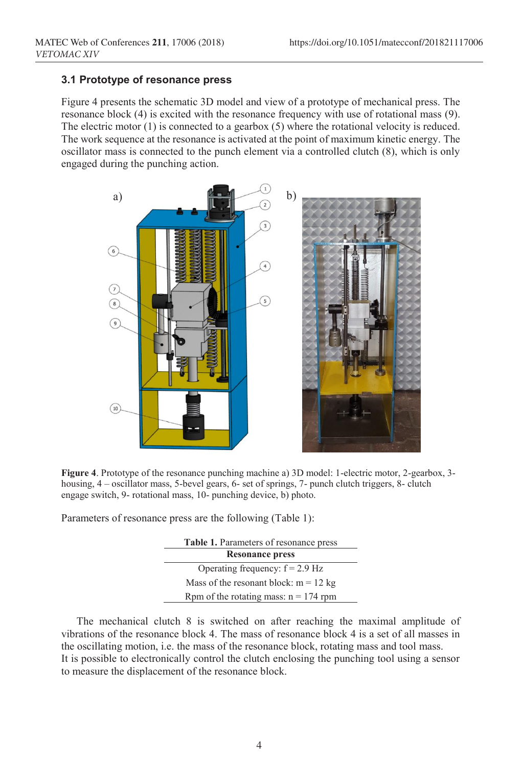#### **3.1 Prototype of resonance press**

Figure 4 presents the schematic 3D model and view of a prototype of mechanical press. The resonance block (4) is excited with the resonance frequency with use of rotational mass (9). The electric motor (1) is connected to a gearbox (5) where the rotational velocity is reduced. The work sequence at the resonance is activated at the point of maximum kinetic energy. The oscillator mass is connected to the punch element via a controlled clutch (8), which is only engaged during the punching action.



**Figure 4**. Prototype of the resonance punching machine a) 3D model: 1-electric motor, 2-gearbox, 3 housing, 4 – oscillator mass, 5-bevel gears, 6- set of springs, 7- punch clutch triggers, 8- clutch engage switch, 9- rotational mass, 10- punching device, b) photo.

Parameters of resonance press are the following (Table 1):

| <b>Table 1.</b> Parameters of resonance press |  |  |  |
|-----------------------------------------------|--|--|--|
| <b>Resonance press</b>                        |  |  |  |
| Operating frequency: $f = 2.9$ Hz             |  |  |  |
| Mass of the resonant block: $m = 12$ kg       |  |  |  |
| Rpm of the rotating mass: $n = 174$ rpm       |  |  |  |

The mechanical clutch 8 is switched on after reaching the maximal amplitude of vibrations of the resonance block 4. The mass of resonance block 4 is a set of all masses in the oscillating motion, i.e. the mass of the resonance block, rotating mass and tool mass. It is possible to electronically control the clutch enclosing the punching tool using a sensor to measure the displacement of the resonance block.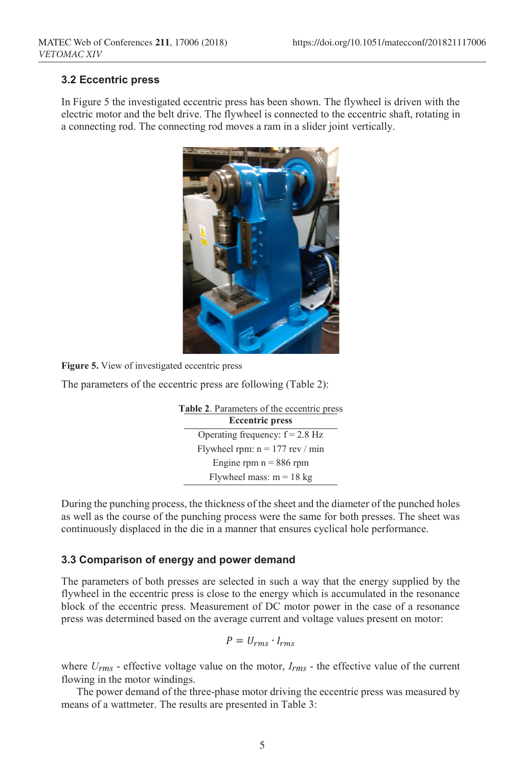#### **3.2 Eccentric press**

In Figure 5 the investigated eccentric press has been shown. The flywheel is driven with the electric motor and the belt drive. The flywheel is connected to the eccentric shaft, rotating in a connecting rod. The connecting rod moves a ram in a slider joint vertically.



**Figure 5.** View of investigated eccentric press

The parameters of the eccentric press are following (Table 2):

| <b>Table 2.</b> Parameters of the eccentric press |                                   |  |  |
|---------------------------------------------------|-----------------------------------|--|--|
|                                                   | <b>Eccentric press</b>            |  |  |
|                                                   | Operating frequency: $f = 2.8$ Hz |  |  |
|                                                   | Flywheel rpm: $n = 177$ rev / min |  |  |
| Engine rpm $n = 886$ rpm                          |                                   |  |  |
|                                                   | Flywheel mass: $m = 18$ kg        |  |  |

During the punching process, the thickness of the sheet and the diameter of the punched holes as well as the course of the punching process were the same for both presses. The sheet was continuously displaced in the die in a manner that ensures cyclical hole performance.

#### **3.3 Comparison of energy and power demand**

The parameters of both presses are selected in such a way that the energy supplied by the flywheel in the eccentric press is close to the energy which is accumulated in the resonance block of the eccentric press. Measurement of DC motor power in the case of a resonance press was determined based on the average current and voltage values present on motor:

$$
P = U_{rms} \cdot I_{rms}
$$

where *Urms* - effective voltage value on the motor, *Irms* - the effective value of the current flowing in the motor windings.

The power demand of the three-phase motor driving the eccentric press was measured by means of a wattmeter. The results are presented in Table 3: